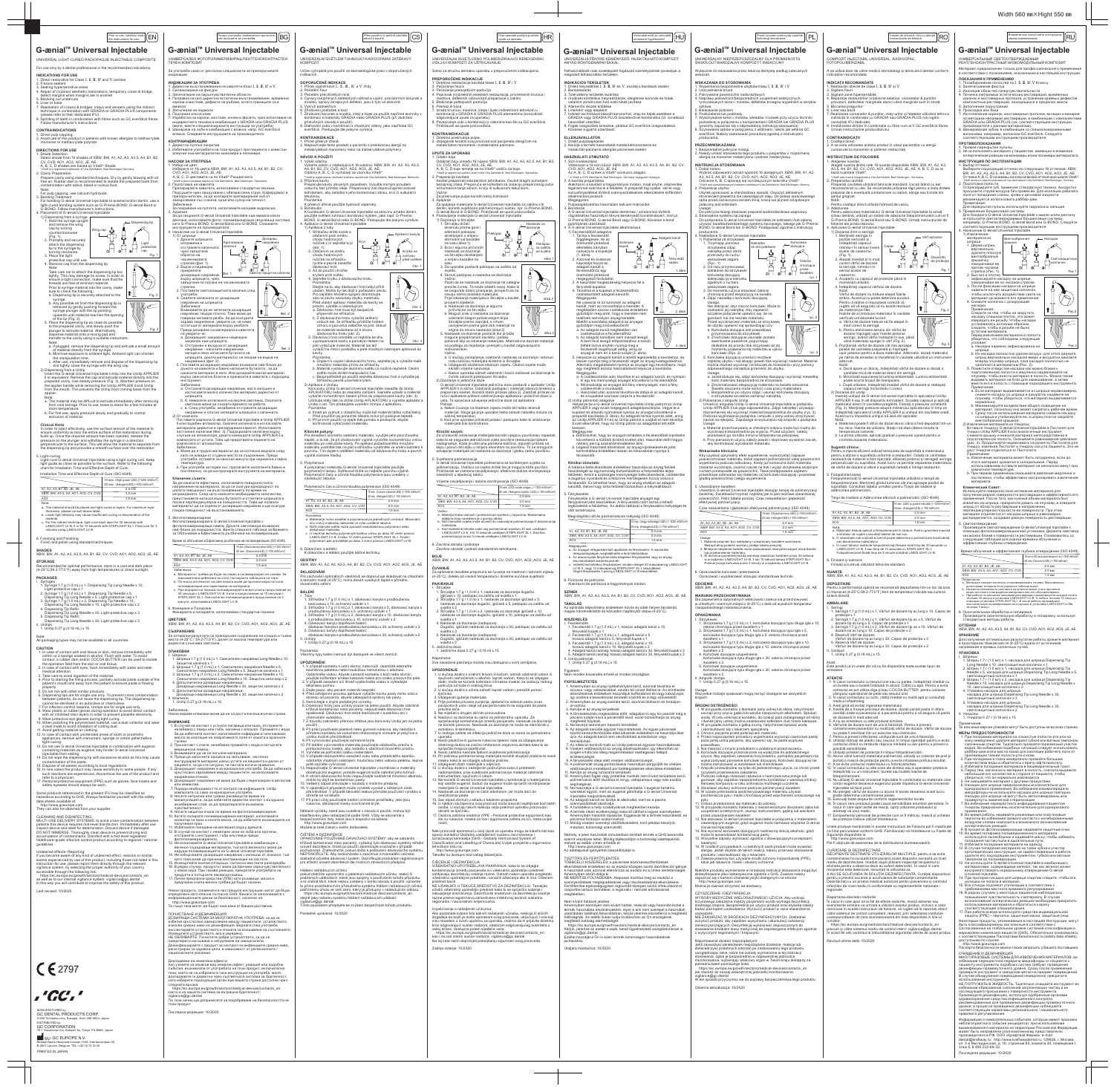1. Директни възстановявания на кавитети Клас **Ⅰ**, **Ⅱ**, **Ⅲ**, **Ⅳ** и **Ⅴ**.

годготовка на кавитета<br>Ірепарирайте кавитета, използвайки стандартни техники.

изправена и отстранете капачката чрез завъртане обратно на часовниковата стрелка (фиг. 1). 2. Бързо и надеждно прикрепете

дозиращия накрайник върху шприцата, чрез завъртане по посока на часовниковата стрелка. 3. Поставете светлозащитната капачка след употреба. 4. Свалете капачката от дозиращия накрайник на шприцата. Забележка:

айника (фиг. 2).

 Внимавайте да не затегнете дозиращия накрайник твърде плътно. Това може да акралник тверде плетно: това може р<br>овреди неговата резба. За да осигур здраво закрепване, уверете ce, че няма остатъци от материала върху резбата. Преди дозиране на материала в кавитета, се уверете че: a. Дозиращият накрайник е надеждно закрепен към шприцата. b. Отстранен е въздуха от дозиращия айник - насочете накрайника нагоре и леко натиснете буталото на

шприцата, докато материалът се покаже на върха на

Забележка:

a. Отстранете дозиращия накрайник, ако е запушен и изстискайте малко количество материал директно от

.....<br>ване на пулпата, използвайте калциев хидроксид

Докладване на нежелани ефекти:<br>Ако узнаете за някакъв вид нежелан ефект, реакция или подобни<br>събития, възникнали от употребата на този продукт, включително<br>тези, които не са изброени в тази инструкция за употреба, моля,<br>д следната връзка:<br>https://ec.europa.eu/growth/sectors/medical-devices/contacts\_en<br>както и на нашата система за вътрешна бдителност:<br>vigilance@gc.dental<br>По този продукт.<br>този продукт. Последна редакция: 10/2020

шприцата. b. б. Намалете излагането на околна светлина. Околната светлина може да съкрати времето за работа.<br>С. в. След употреба, незабавно отстранете дозиращия<br>Накрайник и плътно затворете шприцата с капачката.<br>2) От компюла G-ænial Universal Injectable в Unitip APPLIER. II или подобен апликатор. Свалете капачката и изтласкайте<br>материала директно в препарирания кавитет. Използвайте<br>постоянно налягане (Фиг. 3). Поддържайте налягане върху<br>спусъка на апликатора, докато изваждате Unitip APPLI кусека на анижатера, декато изваждато онкручи т. Ен<br>эмпюлата от устата. Това ще предотврати падането на компюлата от апликатора. Забележка: a. Може да е трудно материалът да се изтласка веднага след като се извади от студено място за съхранение. Преди употреба, оставете за няколко минути при нормална стайна температура. b. При употреба за първи път, прилагайте налягането бавно и постепенно, за да контролирате екструзията на материала. **Клинични съвети:**  За да нанесете ефективно, използвайте повърхностното напрежение на материала, за да се осигури еднородност по<br>цялата повърхност на възстановяването по време на<br>изграждането. След като нанесете необходимото количество,<br>преустановете натиска върху буталото и оттеглете шприцат падка повърхност на възстановяването 5. Фотополимеризиране<br>Фотополимеризирайте G-ænial Universal Injectable с<br>фотополимеризираща лампа. Дръжте светловода възможно<br>най-близо до повърхността. Вижте следната таблица за Времето<br>за Облъчване и Ефективната дълбочи 6. Финиране и Полиране Финирайте и полирайте, използвайки стандартни техники. **ЦВЕТОВЕ** XBW, BW, A1, A2, A3, A3.5, A4, B1, B2, CV, CVD, AO1, AO2, AO3, JE, AE **СЪХРАНЕНИЕ** За оптмални резултати се препоръчва съхранение на хладно и тъмно място (4-25°C / 39.2-77.0°F), далеч от висока температура или директна слънчева светлина. **ОПАКОВКИ** I. Шприци 1. Шприца 1.7 g (1.0 mL) x 1, Смесителен накрайник Long Needle x 10, 3 ащитна капачка x 1<br>2. Шприца 1.7 g (1.0 mL) x 1, Смесителен накрайник Needle x 5,<br>Смесителен накрайник Long Needle x 5, Защитна капачка x 1<br>3. Шприца 1.7 g (1.0 mL) x 2, Смесителен накрайник Needle x 10,<br>- Смесителен на 4. Допълнителни дозиращи накрайници: Дозиращи накрайници Long Needle x 30, защитни капачка x 3 5. Допълнителни дозиращи накрайници: Дозиращи накрайници Long Needle x 30, защитни капачка x 2 II. Компюли 1. Unitip 0.27 g (0.16 mL) x 15 Забележка: авелемка.<br>Іякои видове опаковки може да не са достъпни във всички страни **ВНИМАНИЕ** 1. В случай на контакт с устната лигавица или кожа, отстранете<br>незабавно с памук или гъба, напоени с алкохол. Промийте с вода.<br>За да избегнете контакт, използвайте кофердам и/ или какаово<br>масло за изолация на оперативното тъкани. 2. При контакт с очите, незабавно промийте с вода и потърсете медицинска помощь.<br>3. Внимавайте да не се погълне материала.<br>4. Преди да започнете процеса на запълване, частично и акторудирайте материал извън устата на пациента и далеч от<br>пациента, за да сте сигурни, че пастата изтича і́ника отново.<br>ащият накрайник не може да бъде стерилизиран в авто<sub>!</sub> или хемиклав. 7. Поради необходимостта от контрол на инфекциите, Unitip компюлите са само за еднократна употреба. 8. Носете нитрилни или гумени ръкавици по време на манипулацията, за да избегнете директен контакт с въздушно .<br>нхибирания слой, за да предотвратите възможна чувствителност. 9. Носете защитни очила по време на фотополимеризиране. 10. Когато полирате полимеризирания материал, използвайте колектор за прах и носете маска, за да избегнете инхалацията на получения прах. 11. Избягвайте попадане на материал върху дрехите. 12. В случай на контакт с нежелани зони на зъба или протези, отстранете с инструмент, гъба или памук преди фотополимеризирането. 13. Не използвайте G-ænial Universal Injectable в комбинация с евгенол-съдържащи материали, тъй като евгенолът може да наруши полимеризацията на G-ænial Universal Injectable. 1е избърсвайте дозиращия накрайник с излишък от алкохол, т като това може да причини контаминация на пастата. 15. Изхвърляйте всички отпадъци, съгласно местните разпоредби. 16. В редки случаи, продуктът може да причини свръхчувствителност у някои хора. При такива реакции, прекратете употребата на продукта и потърсете лекарска помощ. 17. Лични предпазни средства (ЛПЕ) като ръкавици, маска и предпазни очила винаги трябва да бъдат носени. Някои продукти, споменати в настоящите инструкции, могат да бъда<br>определени като опасни съгласно GHS. Винаги се запознавайте с<br>информационните данни за безопасност, налични на:<br>- Te също така могат да бъдат изискани от Ва ПОЧИСТВАНЕ И ДЕЗИНФЕКЦИЯ ДОЗИРАЩИ СИСТЕМИ ЗА МНОГОКРАТНА УПОТРЕБА: за да се избегне кръстосано замърсяване между пациентите, устройството изисква средно ниво на дезинфекция. Веднага след употреба инспектирайте устройството и етикета за влошаване на състоянието. Изхвърлете устройството, ако е увредено. НЕ ОБЛИВАЙТЕ. Почистете добре устройството, за да се предотврати изсъхване и натрупване на замърсители.<br>Дезинфекцирайте с продукт за контрол на инфекциите средно ниво,<br>регистриран за здравни цели, в зависимост от регионалните /<br>националните указания. 10 sec. (Високоенергийна LED) (> 1200 mW/cm<sup>2</sup>) 20 sec. (Халоген/LED) (> 700 mW/cm<sup>2</sup> ) A1, A2, A3, B1, B2, JE, AE 2,5 mm XBW, BW, A3.5, A4, AO1, AO2, CV, CVD 2,0 mm  $\frac{2,0 \text{ mm}}{1,5 \text{ mm}}$ Време за облъчване и Ефективна дълбочина на полимеризация (ISO 4049) абележка: а. материалът трябва да бъде поставен и пол максималната дебелина на слоя, погледнете таблицата по-горе.<br>b. По-нисък интензитет на светлината може да причини недостатъчна<br>полимеризация или оцветяване на материала. с. При индиректна техника полимеризирайте всеки слой в продължение на<br>30 секунди с LABOLIGHT LV-III, II или в продължение на 10 секунди с<br>STEPLIGHT SL-I. Окончателно полимеризиране в продължение на 3 минути, използвайки LABOLIGHT LV-III.

Ako postanete svjesni bilo kakvih neželjenih učinaka, reakcija ili sličnih događaja do kojih je došlo uporabom ovog proizvoda, uključujući i one koji nisu navedeni u ovom uputstvu za uporabu, molimo da ih prijavite direktno kroz odgovarajući sustav nadzora, odabirom odgovarajućeg autoriteta u<br>vašoj državi, dostupno putem sljedeće veze:<br>https://ec.europa.eu/growth/sectors/medical-devices/contacts\_en<br>kao i na naš intemi sustav nadzora: vigilanc

megfelelően

Prior to use, carefully read the instructions of the instructions of the instructions of the instructions of the instructions of the predictive precident in the instructions of the instructions of the instructions of the i G-ænial<sup>™</sup> Universal Injectable UNIVERZÁLNÍ SVETLEM TUHNOUCÍ RADIOOPÁKNÍ ZATEKAVÝ<br>KOMPOZIT Určen výhradně pro použití ve stomatologické praxi v doporučených indikacích. **PREPORUČENE INDIKACIJE DOPORUČENÉ INDIKACE** 1. Přímé výplně kavit **Ⅰ**., **Ⅱ**., **Ⅲ**., **Ⅳ**. a **Ⅴ**. třídy .. Biroktro rostaara.<br>2. Pečaćenie fisura . r ečačenje nadra<br>. Pečaćenje preosjetljivih područja 2. Pečetění fisur 3. Pečetění přecitlivělých míst 4. Opravy (ne)přímých estetických náhrad a výplní, provizorních korunek a můstků, opravy okrajových defektů, jsou-li tyto ve sklovině 5. Blokiranje potkopanih područja Vykrytí podsekřivi 6. Premaz ili baza .<br>ovení podložek a bazí zhotovení korunek a můstků, inlejí a fazet za použití nepřímé techniky kombinaci s materiály GRADIA nebo GRADIA PLUS (při dodržení индиректната техника в комбинация с GRADIA или GRADIA PLUS příslušných návodů k použití). Pridržavati se uputa proizvođača. 8. Dlahování zubů v kombinaci s vhodnými vlákny, jako například GC everStick. Postupujte dle pokynů výrobce. **KONTRAINDIKACIJE KONTRAINDIKACE** 1. Přímé překrytí dřeně. 2. Nepoužívejte tento produkt u pacientů s prokázanou alergií na metakrylátové monomery nebo na metakrylátové polymery. **UPUTE ZA UPORABU NÁVOD K POUŽITÍ** 1. Výběr odstínu Vyberte odstín z následujících 16 odstínů: XBW, BW, A1, A2, A3, A3.5, A4, B1, B2, CV, CVD, AO1, AO2, AO3, JE, AE. Odstíny A, B, C, D vycházejí ze vzorníku Vita®\*. \*Vita® je registrovanou obchodní známkou společnosti Vita Zahnfabrik, Bad Säckingen, Německo. 2. Příprava kavity Preparujte kavitu obvyklým způsobem. Vysušte mírným proudem vzduchu bez příměsi oleje. Preparovaný zub doporučujeme izolovat kofrdamem, aby nedošlo k jeho kontaminaci slinou, krví či sulkulární Подсушете чрез продухване с обезмаслена струя. Кофердамът е<br>препоръчителен, за да изолирате препарирания зъб от<br>замърсяване със слюнка, кръв или сулкусна течност. tekutinou. Poznámka: K překrytí dřeně použijte hydroxid vápenatý. **Bondování**  K bondování G-ænial Universal Injectable na sklovinu a/nebo dentin, použijte světlem tuhnoucí bondovací systém, jako např. G-Premio BOND, G-ænial Bond nebo G-BOND. Postupujte dle pokynů výrobce. дентина, използвайте фото- полимеризираща свързваща система като G-Premio BOND, G-ænial Bond или G-BOND. Спазвайте 1) Doziranje iz štrcaljke 1. Štrcaljku držati 4. Aplikace G-ænial Universal Injectable ) Aplikace z tuby okrenutu prema gore i 1. Stříkačku držte svisle a odstraniti poklopac  $A$ plikační kanyla otáčením proti směru okretanjem u smjeru chodu hodinových obrnutom od kazaljke ručiček z ní sejměte kryt Kryt (obr. 1). 2. Otáčením ve směru chodu hodinových ručiček na stříkačku Krytka na ochranu rychle a pevně nasaďte Obr. dávkovací hrot. 3. Až do použití chraňte Светло-защитна капачка krytem proti světlu. 4. Sejměte krytku z dávkovacího hrotu. Poznámka:<br>Obejte na to, aby dávkovací hrot nebyl příliš<br>Utažen. Mohlo by tak dojít k poškození závitu.<br>Pro zajištění těsného spojení zkontrolujte,<br>zda na závitu nezůstaly zbytky materiálu.<br>Před vlastní aplikací materiálu d  $\bigcirc$  $($  $\parallel \uparrow \parallel$  Obr. 2  $\sqrt{\frac{1}{2}}$ Фиг. 2 připevněn ke stříkačce. b. Z dávkovacího hrotu vytlačte veškerý VIKE vzduch tak, že stříkačku přidržíte hrotem vzhůru a pozvolna zatlačíte na píst, dokud se materiál nedostane až k otvoru dávkovacího hrotu (obr. 2). 5. Dávkovací hrot umístěte co nejblíže ke dnu Obr. 3 vypreparované kavity a pomalým tlakem na píst vytlačujte materiál. Materiál lze též vytlačit na mísící podložku a poté vhodným nástroiem aplikovat do Фиг. 3 instrumentom. kavity. Poznámka: a. Dojde-li k ucpání dávkovacího hrotu, sejměte jej a vytlačte malé 5. Поставете дозиращия накрайник възможно най-близо до<br>дъното на кавитета и бавно натиснете буталото , за да<br>нанесете материал в него. Или дозирайте малко материал<br>върху смесително блокче и пренесете в кавитета с подходящ množství materiálu přímo ze stříkačky.<br>b. Materiál vystavujte okolnímu světlu co možná nejméně. Okolní<br>světlo může zkrátit manipulační čas.<br>c. Bezprostředně po použití sejměte dávkovací hrot a vyhodte jej.<br>Stříkačku pevně 2) Aplikace z Unitip G-ænial Universal Injectable nasaďte do Unitip APLIKÁTORU nebo do stejného zařízení. Sejměte uzávěr a materiál vytlačte rovnoměrným tlakem přímo do preparované kavity (obr. 3).<br>Unitip Helite rovnoměrný roznamka.<br>a. Ihned po vyjmutí z chladničky může být materiál těžko vytlačitelný<br>Dřed použitím jej ponechte několik minut nři pokojové tenlotě. Před použitím jej ponechte několik minut při pokojové teplotě. b. Při prvním použití vyvíjejte tlak pomalu a postupně, abyste kontrolovali vytlačování materiálu. **Klinički savjeti: Klinické pokyny:**  .<br>Iného zatečení materiálu, vvužiite jeho povrchového napětí, a to tak, že při zhotovování výplně vytvoříte rovnoměrnou vrstvu materiálu po celé ploše kavity. Po aplikaci požadovaného množství materiálu uvolněte tlak na píst a stříkačku vytáhněte ve směru kolmém k povrchu. Tím dojde k oddělení materiálu od dávkovacího hrotu a povrch výplně zůstane hladký. 5. Svjetlosna polimerizacija Polymerace K polymeraci materiálu G-ænial Universal Injectable použijte polymerační lampu. Světlovod držte co nejblíže povrchu výplně. Polymerační časy a účinná hloubka polymerace jsou uvedeny v navedenih u sljedećoj tablici. následující tabulce. Polymerační čas a účinná hloubka polymerace (ISO 4049) 10 sec. (Vysoce výkonná LED) (> 1200 mW/cm<sup>2</sup>) 20 sec. (Halogen/LED) (> 700 mW/cm2) A1, A2, A3, B1, B2, JE, AE 2.5 mm XBW, BW, A3.5, A4, AO1, AO2, CV, CVD 2.0 mm AO3 1.5 mm Poznámka: a. Materiál je nutno nanášet a polymerovat po jednotlivých vrstvách. Maximální sílu vrstvy materiálu naleznete ve výše uvedené tabulce. b. Nižší intenzita světla může způsobit nedostatečnou polymeraci nebo diskoloraci materiálu.<br>C. U nepřímé techniky polymerujte každou vrstvu po dobu 30 vteřin pomocí<br>LABOLIGHT LV-III, II nebo 10 vteřin pomocí STEPLIGHT SL-I. Finální<br>polymeraci pak provádějte po dobu 3 minut pomocí LABOLIGHT 3. Završna obrada i poliranje 6. Dokončení a leštění K dokončení a leštění použijte běžné techniky. **ODSTÍNY** XBW, BW, A1, A2, A3, A3.5, A4, B1, B2, CV, CVD, AO1, AO2, AO3, JE, AE **ČUVANJE SKLADOVÁNÍ**<br>Pro zachování optimálních vlastností se doporučuje skladovat na chladném<br>a temném místě (4-25°C), mimo dosah vysokých teplot a přímého **PAKIRANJE** slunečného záření. BALENI<br>
1. Stříkačka 1.7 g (1.0 mL) x 1, dávkovací kanyla s prodlouženou<br>
1. Stříkačka 1.7 g (1.0 mL) x 1, dávkovací kanyla x 5, dávkovací kanyla s<br>
2. Stříkačka 1.7 g (1.0 mL) x 1, dávkovací kanyla x 5, dávkovací kanyla s II. Unitipy 1. Unitip 0.27 g (0.16 mL) x 15 svietla x 2 II. Jedinična doza 1. Jedinična doza 0.27 g / 0.16 ml x 15 Poznámka: Všechny typy balení nemusí být dostupné ve všech zemích. **UPOZORNĚNÍ** -**OZONNENI**<br>. V případě kontaktu s ústní sliznicí nebo kůží, okamžitě odstraňte **UPOZORENJE** bavlněnou peletkou nebo houbičkou namočenou v alkoholu. Opláchněte vodou. Abyste zamezili kontaktu s kůží nebo sliznicí, použijte kofferdam a/nebo kakaové máslo pro izolaci pracovního pole. 2. V případě zasažení očí ihned vypláchněte vodou a vyhledejte lékařskou pomoc.<br>
3. Dejte pozor, aby pacient materiál nespolkl.<br>
4. Před zahájením procesu aplikace vytlačte trochu pasty mimo ústa a stranou od pacienta, abyste zabezpečili správný tok pasty.<br>
5. Nemíchejte s jinými podo křížové kontaminaci mezi pacienty, nepoužívejte dávkovací hrot opakovaně. Dávkovací hrot nelze sterilizovat v autoklávu ani v chemickém autoklávu. 7. Z důvodů zabránění přenosu infekce jsou koncovky Unitip jen na jedno puzni.<br>ři práci používejte plastové nebo gumové rukavice, aby nedošlo k 8. Pří práci používejte plastové nebo gumové rukavice, aby nedošlo k<br>vzniku možné přecitlivělosti.<br>Ozniku možné přecitlivělosti.<br>9. Při vytvrzování používejte ochranné bryle.<br>9. Při vytvrzování používejte ochranné bryle.<br>1 12. V případě neúmyslného zasažení zubu nebo protetického aparátu, odstračný sinčné zásažem zása nebo protetického t<br>ňte vhodným nástrojem, houbičkou nebo vatovou pel poté začněte vytvrzovat. s Edonoto Tyth Estat:<br>používeite G-ænial Universal Injectable v kombinaci s materiály obsahujícími eugenol, protože eugenol může zabránit jeho tuhnutí. 14. K otírání dávkovacího hrotu nepoužívejte nadměrné množství alkoholu, mohlo by dojít ke kontaminaci pasty. 11. Inome by dojit ke kontammací pasty.<br>Veškerý odpad zlikvidujte v souladu s místními předpisy. 16. V ojedinělých případech může výrobek vyvolat u některých osob přecitlivělost. V případě takovéto reakce přerušte používání výrobku obraťte se na lékaře. onečišćenja paste. 17. Při práci vždy používejte osobní ochranné prostředky, jako jsou rukavice, obličejové masky a ochranné brýle. Některé výrobky, které jsou uváděné v návodu k použití, mohou být<br>klasifikovány jako nebezpečné podle GHS. Vždy se seznamte s<br>bezpečnostními listy, které jsou k dispozici na adrese: http://www.gceurope.com Můžete je také získat u svého dodavatele. nositi. CISTENI A DEZINFEKCE<br>OPAKOVANĚ POUŽÍVANÉ DÁVKOVACÍ SYSTÉMY: aby se zabránilo křížové kontaminaci mezi pacienty, vyžadují tyto dávkovací systémy střední<br>úroveň dezinfekce. Ihned po použití zkontrolujte a označte v případě<br>pochybností. Znehodnotře, pokud došlo k poškození dávkovacího systému.<br>NEPONOŘ tehničkom listu na: http://www.gceurope.com Također su dostupni kod vašeg dobavljača. CISCENJE I DEZINFEKCIJA<br>VIŠEKRATNO UPOTREBLJIVA PAKIRANJA: kako bi se izbjegla<br>kontaminacija između pacijenata ovi višekratno upotrebljivi predmeti<br>zahtijevaju dezinfekciju srednje razine. Odmah nakon uporabe pregledati<br>vi Hlášení nežádoucích účinků: pokud obdržíte upozornění o jakémkoli nežádoucím účinku, reakci či<br>podobných událostech, které jsou spojeny s používáním tohoto přípravku,<br>a to včetně těch, které nejsou uvedeny v tomto návodu k použití, oznamte<br>to přímo p predmet baciti. NE URANJATI U TEKUĆE SREDSTVO ZA DEZINFEKCIJU. Temeljito p přímo prostredníctvím prisiusneno systemu masemi nezaudoudou od vediál<br>atřičnému úřadu ve vaší zemi, který je přístupný v následujícím odkazu<br>: https://ec.europa.eu/growth/sectors/medical-devices/contacts\_en očistiti višekratno upotrebljiv predmet kako bi se spriječilo sušenje i<br>nakupljanje onečišćenja. Dezinficirati sredstvom za dezinfekciju srednje<br>razine prema registriranoj zdravstveno-infektivnoj kontroli sukladno<br>regional https://ec.europa.eu/growth/sectors/medical-devices/contacts\_en stejně jako našemu systému hlášení nežádoucích událostí: vigilance@gc.dental Tímto způsobem přispějete ke zvýšení bezpečnosti tohoto produktu. Izvješćivanje o neželjenim učincima: Posledně upravené: 10/2020 Zadnje izdanje: 10/2020

### G-ænial<sup>™</sup> Universal Injectable UNIVERZALNI SVJETLOSNO POLIMERIZIRAJUĆI RENDGENSKI VIDLJI KOMPOZITI ZA UŠTRCAVANJ Samo za stručnu dentalnu uporabu u preporučenim indikacijama. 1. Direktne restauracije kaviteta klase **Ⅰ**, **Ⅱ**, **Ⅲ**, **Ⅳ** i **Ⅴ** 2. Barázdazárás 4. Popravak (in)direktnih estetskih restauracija, privremenih krunica i mostova, defektnih rubova kod preparacije u caklin 7. Izrada krunica i mostova, inleja i ljuski indirektnom tehnikom u kombinaciji s GRADIA ili GRADIA PLUS elementima (konzultirati odgovarajuće upute za uporabu) 8. Povezivanje zubi u kombinaciji s vlaknima kao što su GC everStick. 1. Direktno prekrivanje pulpe. 2. Izbjegavati koristiti ovaj proizvod kod pacijenata alergičnih na metakrilatne monomere i metakrilatne polimere. 1. Odabir boje<br>
Colabir boje između 16 nijansi XBW, BW, A1, A2, A3, A3.5, A4, B1, B2,<br>
CV, CVD, AO1, AO2, AO3, JE, AE.<br>
A, B, C, D boje temelje se na Vlta®\* vodiču za boje.<br>
A, B, C, D boje temelje se na Vlta® \* vodiču za Za prekrivanje pulpe koristiti kalcij hidroksid. 3. Spajanje Za spajanje materijala G-ænial Universal Injectable za caklinu i/ili **Bondozás** dentin, koristiti svjetlosno polimerizirajući sustav, npr. G-Premio BOND,<br>G-ænial Bond ili G-BOND. Pridržavati se uputa proizvođača.<br>4. Postavljanje materijala G-ænial Universal Injectable Nastavak za doziranje Poklopac na satu (slika 1).<br>
Krytka na nastavak za doziranje na štrcaljku okretanjem na štrcaljku okretanjem na štrcaljku okretanjem na štrcaljku okretanjem slika 1<br>
před světlem u smjeru kazaljke na slika 1<br>
satu. Poklopac za zaštitu od svjetla 3. Do uporabe postaviti poklopac za zaštitu od svjetla. 4. Skinuti poklopac s nastavka za doziranje. Važno:<br>Paziti da se nastavak za doziranje ne zategne<br>previše čvrsto. To može oštetiti navoj. Kako bi<br>se osiguralo dobro prianjanje, provjeriti da na<br>navoju nema ostataka materijala.<br>Prije istiskanja materijala iz štrcaljke  $\downarrow$  (9) slika 2 VIKE pričvršćen za štrcaljku. b. Mogući zrak iz nastavka za doziranje odstraniti blagim potiskivanjem klipa štrcaljke prema naprijed, s vrhom usmjerenim prema gore dok materijal ne stigne do otvora nastavka (slika 2). slika 3 5. Nastavak za doziranje postaviti što je bliže moguće prepariranom kavitetu i polako potisnuti klip za istiskanje materijala. Alternativno dozirati materijal na podlogu za miješanje i prenijeti u kavitet odgovarajućim Važno: a. U slučaju začepljenja, odstraniti nastavak za doziranje i istisnuti malu količinu materijala direktno iz štrcaljke. b. Izbjegavati izloženost okolnom svjetlu. Okolno svjetlo može skratiti vrijeme rukovanja. c. Nakon uporabe odmah odstraniti i baciti nastavak za doziranje te čvrsto zatvoriti poklopcem štrcaljku.<br>2) Doziranje iz jedinične doze<br>6-ænial Universal Injectable jediničnu dozu postaviti u aplikator Unitip<br>APPLIER II ili slično. Odstraniti poklopac i materijal istisnuti direktno u<br>prep ručici aplikatora prilikom odstranjivanja aplikatora i jedinične doze iz usta. To sprječava odvajanje jedinične doze od aplikatora. Pažnja: a. Nakon čuvanja na hladnom mjestu može biti teško istisnuti materijal. Stoga ga prije uporabe treba ostaviti nekoliko materijal. Stoga ga prije uporabe treba ostaviti nekoliko r sobnoj temperaturi. b. Kod prve uporabe pritiskati polako i postupno kako bi istiskivanje materijala bilo kontrolirano. Za učinkovito istiskivanje materijala koristiti njegovu površinsku napetost kako bi se osigurala jednoličnost cijele površine restauracije tijekom<br>nadogradnje. Kada je uštrcana potrebna količina, otpustiti pritisak na<br>klipu i povući štrcaljku u smjeru okomitom na površinu. To će omogućiti<br>odvajanj G-ænial Universal Injectable polimerizira se korištenjem svjetla za polimerizaciju. Vodilicu za svjetlo držati što je moguće bliže površini. Pridržavati se vremena osvjetljavanja i efektivne dubine stvrdnjavanja Vrijeme osvjetljavanja i dubina stvrdnjavanja (ISO 4049) 10 sek. (LED visoke snage) ( > 1200 mW/cm<br>20 sek. (Halogeno svjetlo / LED) ( > 700 mW/ 20 sek. (Halogeno svjetlo / LED) (> 700 mW/cm<sup>2</sup><br>2.5 mm<br>AO3 2.0 mm<br>AO3 2.0 mm<br>4.5 mm Važno: a. Materijal treba nanositi i polimerizirati svjetlom u slojevima. Maksimalna debljina sloja navedena je u gornjoj tablici. b. Niži intenzitet svjetla može dovesti do nedovoljne polimerizacije ili diskoloracija materijala. c. Kod indirektne tehnike svaki sloj polimerizirati svjetlom 30 sek. uređajem LABOLIGHT LV-III, II ili 10 sekundi uređajem STEPLIGHT SL-I. Završna polimerizacija iznosi 3 minute uređajem LABOLIGHT LV-III. Završno obraditi i polirati standardnim tehnikama. **BOJE**<br>XBW, BW, A1, A2, A3, A3.5, A4, B1, B2, CV, CVD, AO1, AO2, AO3, JE, AE Za optimalne rezultate preporuča se čuvanje na hladnom i tamnom mjestu (4-25°C), daleko od visokih temperatura i direktne sunčeve svjetlosti. I. Štrcaljke 1. Štrcaljka 1,7 g / 1,0 ml x 1, nastavak za doziranje dugački, **SZÍNEK** igličasti x 10, poklopac za zaštitu od svjetla x 1<br>2. Štrcaljka 1,7 g / 1,0 ml x 1, nastavak za doziranje igličasti x 5,<br>mastavak za doziranje dugački, igličasti x 5, poklopac za zaštitu od svjetla x 2 3. Štrcaljka 1,7 g / 1,0 ml x 2, nastavak za doziranje igličasti x 10, nastavak za doziranje dugački, igličasti x 10, poklopac za zaštitu od **KISZERELÉS** svjetla x 1 4. Nastavak za doziranje (nadopuna): Dugački, igličasti nastavak za doziranje x 30, poklopac za zaštitu od svjetla x 3 5. Nastavak za doziranje (nadopuna): Dugački, igličasti nastavak za doziranje x 30, poklopac za zaštitu od Napomena: Sva navedena pakiranja možda nisu dostupna u svim zemljama. 1. U slučaju dodira s oralnim tkivom ili kožom, odmah odstraniti vatom ili spužvom namočenom u alkohol. Isprati vodom. Kako bi se izbjegao dodir, može se koristiti koferdam i/ili kakao maslac za izolaciju radnog područja od kože ili oralnog tkiva. 2. U slučaju dodira s očima odmah isprati vodom i potražiti pomoć iliječnika<br>3. izbjegovati gutanje materijala,<br>4. Prije početka procesa punjenja, djelomično istisnuti pastu izvan<br>pozijehotni usta i dalje od pacijenta kako bi se osiguralo da pasta<br>pravilno teče.<br>5. Ne miješati s drugim s uporabu.<br>8. Nositi plastične ili gumene rukavice tijekom rada za izbjegavanje<br>6. direktnog dodira sa zračno inhibiranim slojevima akrilata kako bi se<br>spriječila moguća osjetljivost.<br>9. Nositi zaštitne naočale tijekom svjet 10. Pri poliranju polimeriziranog materijala koristiti skupljač prašine te nositi masku kako bi se izbjeglo udisanje prašine. Izbiegavati dodir materijala s odjećom 12. U slučaju dodira s neželjenim područjima zuba ili protetskih adomjestaka, prije svjetlosne polimerizacije materijal odstraniti<br>nstrumentom, spužvom ili vatom. instrumentom, spužvom ili vatom. 13. Ne koristiti G-ænial Universal Injectable u kombinaciji s materijalima koji sadrže eugenol, budući da eugenol može spriječiti stvrdnjavanje materijala G-ænial Universal Injectable. 14. Nastavak za doziranje ne čistiti alkoholom, jer može doći do 15. Sav otpad zbrinuti u skladu s lokalnim propisima. 6. U rijetkim slučajevima ovaj proizvod može izazvati osjetljivost kod nek osoba. U slučaju takvih reakcija valja prekinuti uporabu proizvoda i obratiti se liječniku. 17. Osobna zaštitna sredstva (PPE - Personal protective equipment) kao što su rukavice, maska za lice i sigurnosna zaštita za oči, treba uvijek Neki proizvodi spomenuti u ovoj Uputi za uporabu mogu se klasificirati kao opasni sukladno Globalno usklađenom sustavu razvrstavanja i<br>označavanja kemikalija (GHS - Globally Harmonized System of<br>Classification and Labelling of Chemicals) Uvijek provjerite u sigurnosno

javításához.

Width 560 mm×Hight 550 mm

### Prior to use, carefully read  $\boxed{\mathsf{EN}}$ G-ænial<sup>™</sup> Universal Injectable G-ænial<sup>™</sup> Universal Injectable UNIVERSAL LIGHT-CURED RADIOPAQUE INJECTABLE COMPOSITE УНИВЕРСАЛЕН ФОТОПОЛИМЕРИЗИРАЩ РЕНТГЕНОКОНТРАСТЕН ТЕЧЕН КОМПОЗИТ For use only by a dental professional in the recommended indications. За употреба само от дентални специалисти за препоръчаните **INDICATIONS FOR USE** индикации 1. Direct restorative for Class I, II, III, IV and V cavities<br>2. Fissure sealant<br>3. Sealing hypersensitive areas<br>4. Repair of (in)direct aesthetic restorations, temporary crown & bridge,<br>4. Repair of (in)direct aesthetic r **ИНДИКАЦИИ ЗА УПОТРЕБА** 2. Силанизиране на фисури 3. Запечатване на свръхчувствителни области 4. Поправка на (ин) директни естетични възстановявания, временни корони и мостове, дефекти на ръбове, когато границите са в емайла 5. Запълване на подмоли 6. Подложка или основа . Изработка на корони, мостове, инлеи и фасети, чрез изп (моля, вижте специализираните инструкции за употреба) 8. Шиниране на зъби в комбинация с влакна, напр. GC everStick влакна. Следвайте инструкциите на производителя. **CONTRAINDICATIONS** 1. Direct pulp capping. 2. Avoid use of this product in patients with known allergies to methacrylate **КОНТРАИНДИКАЦИИ** monomer or methacrylate polymer 1. Директно пулпно покритие. 2. Избягвайте употребата на този продукт при пациенти с известни **DIRECTIONS FOR USE** алергии към метакрилатни мономери и полимери Shade Selection Select shade from 16 shades of XBW, BW, A1, A2, A3, A3.5, A4, B1, B2, CV, CVD, AO1, AO2, AO3, JE, AE. HACOKM 3A УПОТРЕБА<br>1. Избор на цвят<br>- Изберете от 16 цвята XBW, BW, A1, A2, A3, A3.5, A4, B1, B2, CV,<br>CVD, AO1, AO2, AO3, JE, AE.<br>- Vita® e регистрирана мрва в Vita@\* Разцветката<br>- Vita® e регистрирана мрва в Vita Zahnfab A, B, C, D shades are based on Vita®\* Shade. \*Vita® is a registered trademark of Vita Zahnfabrik, Bad Säckingen,Germany. 2. Cavity Preparation Prepare cavity using standard techniques. Dry by gently blowing with oil free air. Rubber dam is recommended to isolate the prepared tooth from contamination with saliva, blood or sulcus fluid. Note: For pulp capping, use calcium hydroxide. 3. Bonding Treatment<br>
For bonding G-ænial Universal Injectable to enamel and/or dentin, use a<br>
light-cured bonding system such as G-Premio BOND, G-ænial Bond or<br>
G-BOND. Follow manufacturer's instructions.<br>
4. Placement of Забележка: 3. Адхезия За да свържете G-ænial Universal Injectable към емайла и/или инструкциите на производителя. cap by turning counterclockwise 4. Нанасяне на G-ænial Universal Injectable Wing cap 1) От шприци 1. Дръжте шприцата (Fig. 1). 2. Promptly and securely attach the dispensing Light protective cap tip to the syringe by turning clockwise. 3. Place the light Fig. 1 protective cap until use. 4. Remove cap from the dispensing tip. Note: Take care not to attach the dispensing tip too tightly. This may damage its screw. In order to ensure a tight connection, make sure that the  $\bigcirc$ threads are free of remnant material. Prior to syringe material into the cavity, make<br>sure to check the following:<br>a. Dispensing tip is securely attached to the **fig.** Fig. 2 syringe plunger in the dispensing tip is<br>the Ainy possible air from the dispensing tip is<br>giving plunger with the tip pointing<br>giving forward the<br>syringe plunger with the tip pointing<br>5. Place the dispensing tip as close a VIK Fig. 3 Note:<br>a. If plugged, remove the dispensing tip and extrude a small amoun of material directly from the syringe. b. Minimise exposure to ambient light. Ambient light can shorten the manipulation time. c. After use, immediately remove and dispose of the dispensing tip and tightly close the syringe with the wing cap.<br>Densing from a Unitip 2) Dispensing from a Unitip Insert the G-ænial Universal Injectable Unitip into the Unitip APPLIER II or equivalent. Remove the cap and extrude material directly into the prepared cavity. Use steady pressure (Fig. 3). Maintain pressure on the applier handle while removing the Unitip APPLIER II and Unitip from the mouth. This prevents the Unitip from coming loose from th applier. Note: a. The material may be difficult to extrude immediately after removing from cold storage. Prior to use, leave to stand for a few minutes at room temperature. b. For first use, apply pressure slowly and gradually to control extrusion of materia **Clinical Hints** In order to inject effectively, use the surface tension of the material to ensure uniformity across the entire surface of the restoration during<br>build up. Once the required amount has been injected, release the<br>pressure on the plunger and withdraw the syringe in a direction<br>perpendicular to the s 5. Light-curing Light-cure G-ænial Universal Injectable using a light curing unit. Keep light guide as close as possible to the surface. Refer to the following chart for Irradiation Time and Effective Depth of Cure. Irradiation Time and Effective Depth of Cure (ISO 4049) 10 sec. (High power LED) (>1200 20 sec. (Halogen/LED) (>70<br>2.5 mm A1, A2, A3, B1, B2, JE, AE 2.5 mm<br>XBW, BW, A3.5, A4, AO1, AO2, CV, CVD 2.0 mm<br>AO3 1.5 mm Note: a. The material should be placed and light-cured in layers. For maximum layer thess, please consult above table. b. Lower light intensity may cause insufficient curing or discoloration of the material.<br>c. For the indirect technique, light-cure each layer for 30 seconds with<br>LABOLIGHT LV-III, II or for 10 seconds with STEPLIGHT SL-I. Final cure for 3<br>minutes using LABOLIGHT LV-III. 6. Finishing and Polishing Finish and polish using standard techniques. **SHADES** XBW, BW, A1, A2, A3, A3.5, A4, B1, B2, CV, CVD, AO1, AO2, AO3, JE, AE **STORAGE** Recommended for optimal performance, store in a cool and dark place (4-25°C/39.2-77.0°F) away from high temperatures or direct sunlight. **PACKAGES** 1. Syringes<br>
1. Syringe 1.7 g (1.0 mL) x 1, Dispensing Tip Long Needle x 10,<br>
Light-protective cap x 1<br>
2. Syringe 1.7 g (1.0 mL) x 1, Dispensing Tip Needle x 5,<br>
Dispensing Tip Long Needle x 5, Light-protective cap x 1<br> Dispensing Tip Long Needle x 30, Light-protective cap x 3 5. Dispensing Tip Refill: Dispensing Tip Long Needle x 30, Light-protective cap x 2 II. Unitips 1. Unitip 0.27 g (0.16 mL) x 15 Note: All packaging types may not be available in all countries. **CAUTION** 1. In case of contact with oral tissue or skin, remove immediately with cotton or a sponge soaked in alcohol. Flush with water. To avoid contact, a rubber dam and/or COCOA BUTTER can be used to isolate the operation field from the skin or oral tissue. 2. In case of contact with eyes, flush immediately with water and seek medical attention.<br>
3. Take care to avoid ingestion of the material.<br>
4. Prior to starting the filling process, partially extrude paste outside of the<br>
patient's mouth and away from the patient to ensure paste is flowing properly.<br>Do not mix with other similar products. 5. Do not mix with other similar products.<br>To more implied to Dispensing tips are for single use only. To prevent cross contamination<br>between patients, do not reuse the dispensing tip. The dispensing tip<br>cannot be sterilis 11. Avoid getting material on clothing. 12. In case of contact with unintended areas of tooth or prosthetic appliances, remove with instrument, sponge or cotton pellet before light-curing. 13. Do not use G-ænial Universal Injectable in combination with eugenol containing materials as eugenol may hinder G-ænial Universal Injectable from setting. 14. Do not wipe the dispensing tip with excessive alcohol as this may cause contamination of the paste. 15. Dispose of all wastes according to local regulations. 16. In rare cases the product may cause sensitivity in some people. If any such reactions are experienced, discontinue the use of the product and refer to a physician. 17. Personal protective equipment (PPE) such as gloves, face masks and safety eyewear should always be worn. Some products referenced in the present IFU may be classified as hazardous according to GHS. Always familiarise yourself with the safety data sheets available at: http://www.gceurope.com They can also be obtained from your supplier. CLEANING AND DISINFECTING:<br>MULTI-USE DELIVERY SYSTEMS: to avoid cross-contamination between<br>patients this device requires mid-level disinfection. Immediately after use<br>inspect device and label for deterioration. Discard de Undesired effects- Reporting: If you become aware of any kind of undesired effect, reaction or similar vents experienced by use of this product, including those not listed in th instruction for use, please report them directly through the relevant vigilance system, by selecting the proper authority of your country accessible through the following link: https://ec.europa.eu/growth/sectors/medical-devices/contacts\_en as well as to our internal vigilance system: vigilance@gc.dental In this way you will contribute to improve the safety of this product. Last revised: 10/2020

- $C$   $E$  2797
- "GC"



Фиг. 1

Дозиращ

накрайник Криловидна капачка

2-285 Toriimatsu-cho, Kasugai, Aichi 486-0844, Japan MANUFACTURED by: GC DENTAL PRODUCTS CORP. DISTRIBUTED by:<br>GC CORPORATION 71 HATTOTN<br>-cho, Itabashi-ku, Tokyo 174-8585, Japa EU: GC EUROPE N.V. Researchpark Haasrode-Leuven 1240, Interleuvenlaan 33, B-3001 Leuven, Belgium TEL: +32 16 74 10 00

PRINTED IN JAPAN